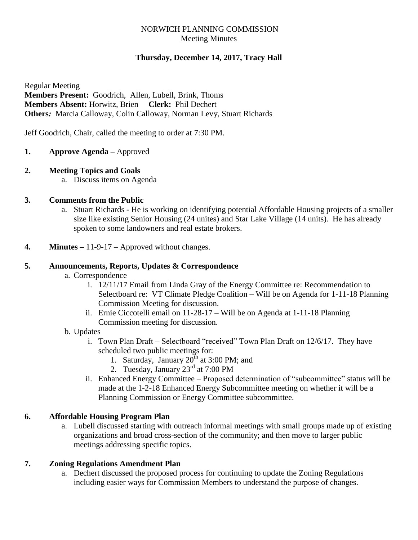# NORWICH PLANNING COMMISSION Meeting Minutes

# **Thursday, December 14, 2017, Tracy Hall**

Regular Meeting **Members Present:** Goodrich, Allen, Lubell, Brink, Thoms **Members Absent:** Horwitz, Brien **Clerk:** Phil Dechert **Others***:* Marcia Calloway, Colin Calloway, Norman Levy, Stuart Richards

Jeff Goodrich, Chair, called the meeting to order at 7:30 PM.

- **1. Approve Agenda –** Approved
- **2. Meeting Topics and Goals**
	- a. Discuss items on Agenda

# **3. Comments from the Public**

- a. Stuart Richards He is working on identifying potential Affordable Housing projects of a smaller size like existing Senior Housing (24 unites) and Star Lake Village (14 units). He has already spoken to some landowners and real estate brokers.
- **4. Minutes –** 11-9-17 Approved without changes.

## **5. Announcements, Reports, Updates & Correspondence**

- a. Correspondence
	- i. 12/11/17 Email from Linda Gray of the Energy Committee re: Recommendation to Selectboard re: VT Climate Pledge Coalition – Will be on Agenda for 1-11-18 Planning Commission Meeting for discussion.
	- ii. Ernie Ciccotelli email on 11-28-17 Will be on Agenda at 1-11-18 Planning Commission meeting for discussion.

#### b. Updates

- i. Town Plan Draft Selectboard "received" Town Plan Draft on 12/6/17. They have scheduled two public meetings for:
	- 1. Saturday, January  $20^{th}$  at 3:00 PM; and
	- 2. Tuesday, January  $23^{\text{rd}}$  at 7:00 PM
- ii. Enhanced Energy Committee Proposed determination of "subcommittee" status will be made at the 1-2-18 Enhanced Energy Subcommittee meeting on whether it will be a Planning Commission or Energy Committee subcommittee.

# **6. Affordable Housing Program Plan**

a. Lubell discussed starting with outreach informal meetings with small groups made up of existing organizations and broad cross-section of the community; and then move to larger public meetings addressing specific topics.

# **7. Zoning Regulations Amendment Plan**

a. Dechert discussed the proposed process for continuing to update the Zoning Regulations including easier ways for Commission Members to understand the purpose of changes.